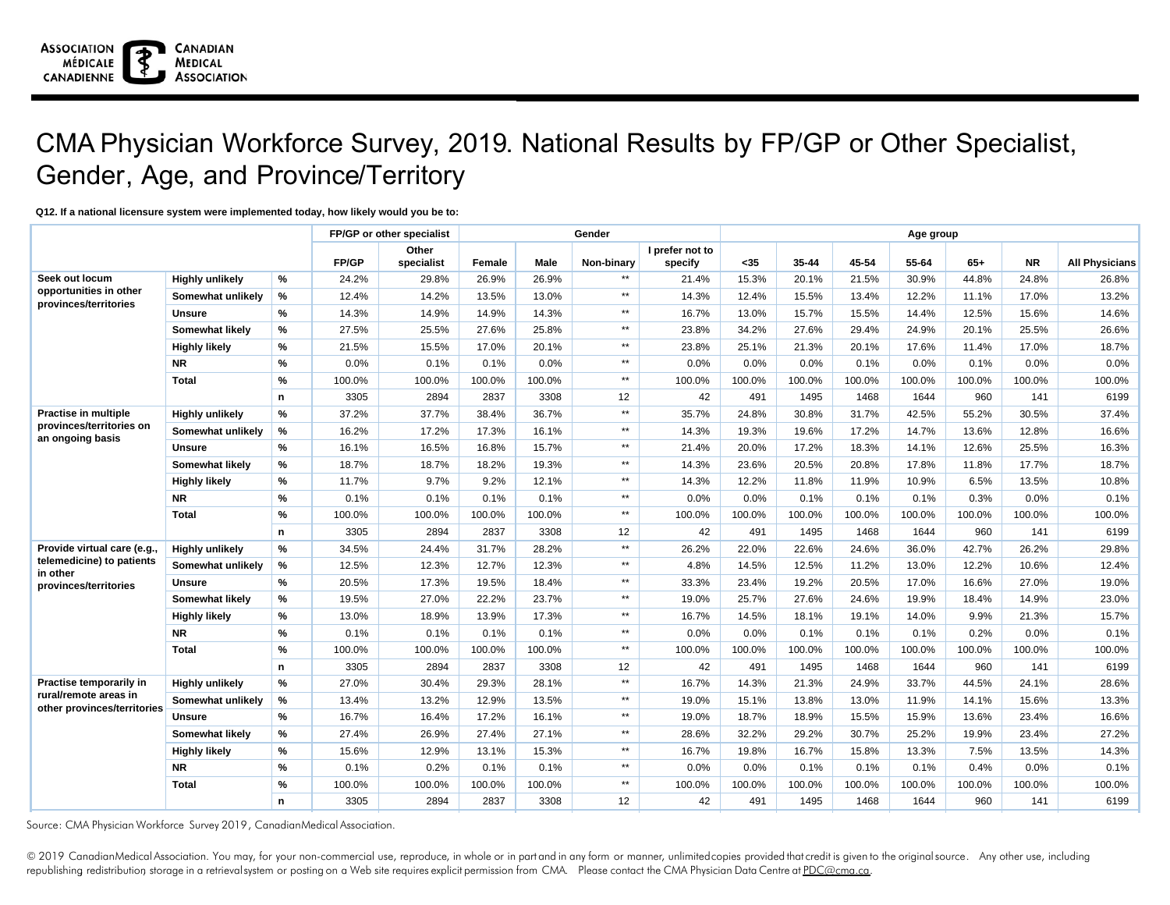#### **Q12. If a national licensure system were implemented today, how likely would you be to:**

|                                                      |                        | FP/GP or other specialist |        |                     | Gender | Age group |                 |                            |        |           |        |        |        |           |                       |
|------------------------------------------------------|------------------------|---------------------------|--------|---------------------|--------|-----------|-----------------|----------------------------|--------|-----------|--------|--------|--------|-----------|-----------------------|
|                                                      |                        |                           | FP/GP  | Other<br>specialist | Female | Male      | Non-binary      | I prefer not to<br>specify | $35$   | $35 - 44$ | 45-54  | 55-64  | $65+$  | <b>NR</b> | <b>All Physicians</b> |
| Seek out locum                                       | <b>Highly unlikely</b> | %                         | 24.2%  | 29.8%               | 26.9%  | 26.9%     | $**$            | 21.4%                      | 15.3%  | 20.1%     | 21.5%  | 30.9%  | 44.8%  | 24.8%     | 26.8%                 |
| opportunities in other                               | Somewhat unlikely      | %                         | 12.4%  | 14.2%               | 13.5%  | 13.0%     | $\star\star$    | 14.3%                      | 12.4%  | 15.5%     | 13.4%  | 12.2%  | 11.1%  | 17.0%     | 13.2%                 |
| provinces/territories                                | <b>Unsure</b>          | %                         | 14.3%  | 14.9%               | 14.9%  | 14.3%     | $\star\star$    | 16.7%                      | 13.0%  | 15.7%     | 15.5%  | 14.4%  | 12.5%  | 15.6%     | 14.6%                 |
|                                                      | Somewhat likely        | %                         | 27.5%  | 25.5%               | 27.6%  | 25.8%     | $\star\star$    | 23.8%                      | 34.2%  | 27.6%     | 29.4%  | 24.9%  | 20.1%  | 25.5%     | 26.6%                 |
|                                                      | <b>Highly likely</b>   | %                         | 21.5%  | 15.5%               | 17.0%  | 20.1%     | $\star\star$    | 23.8%                      | 25.1%  | 21.3%     | 20.1%  | 17.6%  | 11.4%  | 17.0%     | 18.7%                 |
|                                                      | <b>NR</b>              | %                         | 0.0%   | 0.1%                | 0.1%   | 0.0%      | $\star\star$    | 0.0%                       | 0.0%   | 0.0%      | 0.1%   | 0.0%   | 0.1%   | 0.0%      | 0.0%                  |
|                                                      | <b>Total</b>           | %                         | 100.0% | 100.0%              | 100.0% | 100.0%    | $\star\star$    | 100.0%                     | 100.0% | 100.0%    | 100.0% | 100.0% | 100.0% | 100.0%    | 100.0%                |
|                                                      |                        | n.                        | 3305   | 2894                | 2837   | 3308      | 12              | 42                         | 491    | 1495      | 1468   | 1644   | 960    | 141       | 6199                  |
| Practise in multiple                                 | <b>Highly unlikely</b> | %                         | 37.2%  | 37.7%               | 38.4%  | 36.7%     | $**$            | 35.7%                      | 24.8%  | 30.8%     | 31.7%  | 42.5%  | 55.2%  | 30.5%     | 37.4%                 |
| provinces/territories on<br>an ongoing basis         | Somewhat unlikely      | %                         | 16.2%  | 17.2%               | 17.3%  | 16.1%     | $\star\star$    | 14.3%                      | 19.3%  | 19.6%     | 17.2%  | 14.7%  | 13.6%  | 12.8%     | 16.6%                 |
|                                                      | <b>Unsure</b>          | %                         | 16.1%  | 16.5%               | 16.8%  | 15.7%     | $\star\star$    | 21.4%                      | 20.0%  | 17.2%     | 18.3%  | 14.1%  | 12.6%  | 25.5%     | 16.3%                 |
|                                                      | Somewhat likely        | %                         | 18.7%  | 18.7%               | 18.2%  | 19.3%     | $\star\star$    | 14.3%                      | 23.6%  | 20.5%     | 20.8%  | 17.8%  | 11.8%  | 17.7%     | 18.7%                 |
|                                                      | <b>Highly likely</b>   | %                         | 11.7%  | 9.7%                | 9.2%   | 12.1%     | $\star\star$    | 14.3%                      | 12.2%  | 11.8%     | 11.9%  | 10.9%  | 6.5%   | 13.5%     | 10.8%                 |
|                                                      | <b>NR</b>              | %                         | 0.1%   | 0.1%                | 0.1%   | 0.1%      | $\star\star$    | 0.0%                       | 0.0%   | 0.1%      | 0.1%   | 0.1%   | 0.3%   | 0.0%      | 0.1%                  |
|                                                      | <b>Total</b>           | %                         | 100.0% | 100.0%              | 100.0% | 100.0%    | $**$            | 100.0%                     | 100.0% | 100.0%    | 100.0% | 100.0% | 100.0% | 100.0%    | 100.0%                |
|                                                      |                        | n.                        | 3305   | 2894                | 2837   | 3308      | 12              | 42                         | 491    | 1495      | 1468   | 1644   | 960    | 141       | 6199                  |
| Provide virtual care (e.g.,                          | <b>Highly unlikely</b> | %                         | 34.5%  | 24.4%               | 31.7%  | 28.2%     | $\star\star$    | 26.2%                      | 22.0%  | 22.6%     | 24.6%  | 36.0%  | 42.7%  | 26.2%     | 29.8%                 |
| telemedicine) to patients<br>in other                | Somewhat unlikely      | %                         | 12.5%  | 12.3%               | 12.7%  | 12.3%     | $\star\star$    | 4.8%                       | 14.5%  | 12.5%     | 11.2%  | 13.0%  | 12.2%  | 10.6%     | 12.4%                 |
| provinces/territories                                | <b>Unsure</b>          | %                         | 20.5%  | 17.3%               | 19.5%  | 18.4%     | $\star\star$    | 33.3%                      | 23.4%  | 19.2%     | 20.5%  | 17.0%  | 16.6%  | 27.0%     | 19.0%                 |
|                                                      | Somewhat likely        | %                         | 19.5%  | 27.0%               | 22.2%  | 23.7%     | $\star\star$    | 19.0%                      | 25.7%  | 27.6%     | 24.6%  | 19.9%  | 18.4%  | 14.9%     | 23.0%                 |
|                                                      | <b>Highly likely</b>   | %                         | 13.0%  | 18.9%               | 13.9%  | 17.3%     | $\star\star$    | 16.7%                      | 14.5%  | 18.1%     | 19.1%  | 14.0%  | 9.9%   | 21.3%     | 15.7%                 |
|                                                      | <b>NR</b>              | %                         | 0.1%   | 0.1%                | 0.1%   | 0.1%      | $\star\star$    | 0.0%                       | 0.0%   | 0.1%      | 0.1%   | 0.1%   | 0.2%   | 0.0%      | 0.1%                  |
|                                                      | <b>Total</b>           | %                         | 100.0% | 100.0%              | 100.0% | 100.0%    | $\star\star$    | 100.0%                     | 100.0% | 100.0%    | 100.0% | 100.0% | 100.0% | 100.0%    | 100.0%                |
|                                                      |                        | n                         | 3305   | 2894                | 2837   | 3308      | 12              | 42                         | 491    | 1495      | 1468   | 1644   | 960    | 141       | 6199                  |
| Practise temporarily in                              | <b>Highly unlikely</b> | %                         | 27.0%  | 30.4%               | 29.3%  | 28.1%     | $\star\star$    | 16.7%                      | 14.3%  | 21.3%     | 24.9%  | 33.7%  | 44.5%  | 24.1%     | 28.6%                 |
| rural/remote areas in<br>other provinces/territories | Somewhat unlikely      | %                         | 13.4%  | 13.2%               | 12.9%  | 13.5%     | $\star\star$    | 19.0%                      | 15.1%  | 13.8%     | 13.0%  | 11.9%  | 14.1%  | 15.6%     | 13.3%                 |
|                                                      | <b>Unsure</b>          | %                         | 16.7%  | 16.4%               | 17.2%  | 16.1%     | $**$            | 19.0%                      | 18.7%  | 18.9%     | 15.5%  | 15.9%  | 13.6%  | 23.4%     | 16.6%                 |
|                                                      | Somewhat likely        | %                         | 27.4%  | 26.9%               | 27.4%  | 27.1%     | $\star\star$    | 28.6%                      | 32.2%  | 29.2%     | 30.7%  | 25.2%  | 19.9%  | 23.4%     | 27.2%                 |
|                                                      | <b>Highly likely</b>   | %                         | 15.6%  | 12.9%               | 13.1%  | 15.3%     | $\star\star$    | 16.7%                      | 19.8%  | 16.7%     | 15.8%  | 13.3%  | 7.5%   | 13.5%     | 14.3%                 |
|                                                      | <b>NR</b>              | %                         | 0.1%   | 0.2%                | 0.1%   | 0.1%      | $\star\star$    | 0.0%                       | 0.0%   | 0.1%      | 0.1%   | 0.1%   | 0.4%   | 0.0%      | 0.1%                  |
|                                                      | <b>Total</b>           | %                         | 100.0% | 100.0%              | 100.0% | 100.0%    | $\star\star$    | 100.0%                     | 100.0% | 100.0%    | 100.0% | 100.0% | 100.0% | 100.0%    | 100.0%                |
|                                                      |                        | n                         | 3305   | 2894                | 2837   | 3308      | 12 <sup>°</sup> | 42                         | 491    | 1495      | 1468   | 1644   | 960    | 141       | 6199                  |

Source: CMA Physician Workforce Survey 2019, CanadianMedical Association.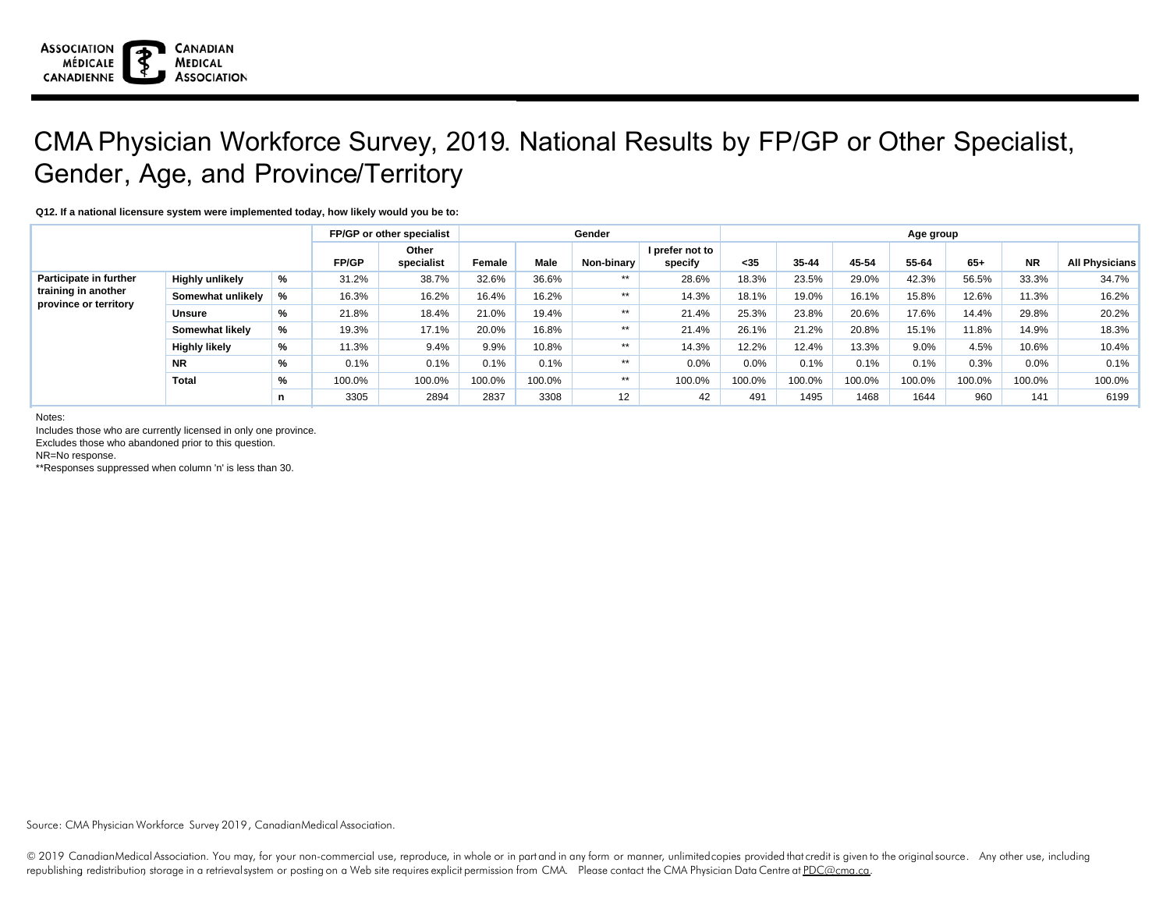#### **Q12. If a national licensure system were implemented today, how likely would you be to:**

|                                                                        |                        | FP/GP or other specialist |        |                     |        | Gender | Age group         |                            |        |        |        |        |        |           |                       |
|------------------------------------------------------------------------|------------------------|---------------------------|--------|---------------------|--------|--------|-------------------|----------------------------|--------|--------|--------|--------|--------|-----------|-----------------------|
|                                                                        |                        |                           | FP/GP  | Other<br>specialist | Female | Male   | Non-binary        | I prefer not to<br>specify | $35$   | 35-44  | 45-54  | 55-64  | $65+$  | <b>NR</b> | <b>All Physicians</b> |
| Participate in further<br>training in another<br>province or territory | <b>Highly unlikely</b> | %                         | 31.2%  | 38.7%               | 32.6%  | 36.6%  | $**$              | 28.6%                      | 18.3%  | 23.5%  | 29.0%  | 42.3%  | 56.5%  | 33.3%     | 34.7%                 |
|                                                                        | Somewhat unlikely      | %                         | 16.3%  | 16.2%               | 16.4%  | 16.2%  | $**$              | 14.3%                      | 18.1%  | 19.0%  | 16.1%  | 15.8%  | 12.6%  | 11.3%     | 16.2%                 |
|                                                                        | <b>Unsure</b>          | %                         | 21.8%  | 18.4%               | 21.0%  | 19.4%  | $**$              | 21.4%                      | 25.3%  | 23.8%  | 20.6%  | 17.6%  | 14.4%  | 29.8%     | 20.2%                 |
|                                                                        | Somewhat likely        | %                         | 19.3%  | 17.1%               | 20.0%  | 16.8%  | **                | 21.4%                      | 26.1%  | 21.2%  | 20.8%  | 15.1%  | 11.8%  | 14.9%     | 18.3%                 |
|                                                                        | <b>Highly likely</b>   | %                         | 11.3%  | 9.4%                | 9.9%   | 10.8%  | $**$              | 14.3%                      | 12.2%  | 12.4%  | 13.3%  | 9.0%   | 4.5%   | 10.6%     | $10.4\%$              |
|                                                                        | <b>NR</b>              | %                         | 0.1%   | 0.1%                | 0.1%   | 0.1%   | $**$              | 0.0%                       | 0.0%   | 0.1%   | 0.1%   | 0.1%   | 0.3%   | 0.0%      | $0.1\%$               |
|                                                                        | <b>Total</b>           | %                         | 100.0% | 100.0%              | 100.0% | 100.0% | $**$              | 100.0%                     | 100.0% | 100.0% | 100.0% | 100.0% | 100.0% | 100.0%    | 100.0%                |
|                                                                        |                        | n                         | 3305   | 2894                | 2837   | 3308   | $12 \overline{ }$ | 42                         | 491    | 1495   | 1468   | 1644   | 960    | 141       | 6199                  |

Notes:

Includes those who are currently licensed in only one province.

Excludes those who abandoned prior to this question.

NR=No response.

\*\*Responses suppressed when column 'n' is less than 30.

Source: CMA Physician Workforce Survey 2019, CanadianMedical Association.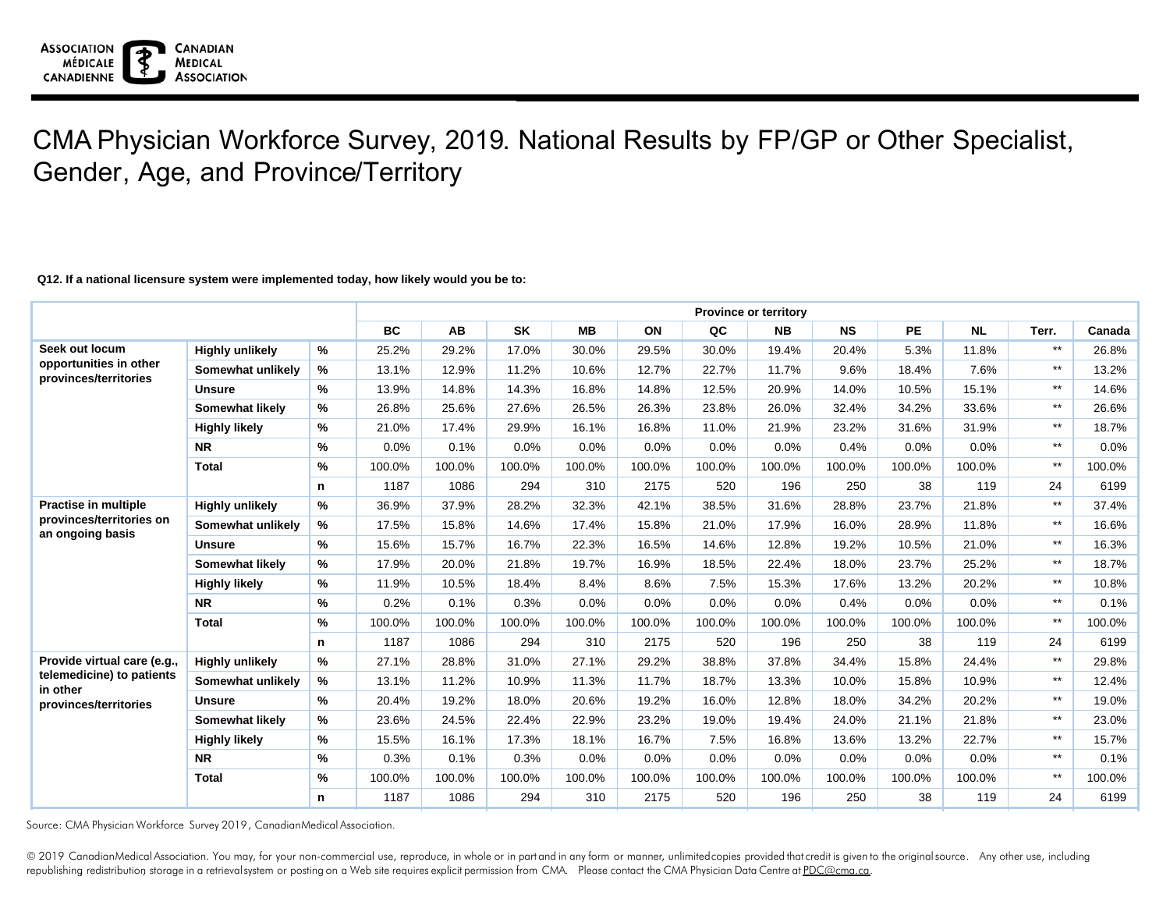### **Q12. If a national licensure system were implemented today, how likely would you be to:**

|                                                 |                        |      | <b>Province or territory</b> |           |           |           |        |         |           |           |           |           |       |        |  |
|-------------------------------------------------|------------------------|------|------------------------------|-----------|-----------|-----------|--------|---------|-----------|-----------|-----------|-----------|-------|--------|--|
|                                                 |                        |      | <b>BC</b>                    | <b>AB</b> | <b>SK</b> | <b>MB</b> | ON     | QC      | <b>NB</b> | <b>NS</b> | <b>PE</b> | <b>NL</b> | Terr. | Canada |  |
| Seek out locum                                  | <b>Highly unlikely</b> | %    | 25.2%                        | 29.2%     | 17.0%     | 30.0%     | 29.5%  | 30.0%   | 19.4%     | 20.4%     | 5.3%      | 11.8%     | $***$ | 26.8%  |  |
| opportunities in other<br>provinces/territories | Somewhat unlikely      | %    | 13.1%                        | 12.9%     | 11.2%     | 10.6%     | 12.7%  | 22.7%   | 11.7%     | 9.6%      | 18.4%     | 7.6%      | $***$ | 13.2%  |  |
|                                                 | <b>Unsure</b>          | %    | 13.9%                        | 14.8%     | 14.3%     | 16.8%     | 14.8%  | 12.5%   | 20.9%     | 14.0%     | 10.5%     | 15.1%     | $***$ | 14.6%  |  |
|                                                 | Somewhat likely        | %    | 26.8%                        | 25.6%     | 27.6%     | 26.5%     | 26.3%  | 23.8%   | 26.0%     | 32.4%     | 34.2%     | 33.6%     | $***$ | 26.6%  |  |
|                                                 | <b>Highly likely</b>   | %    | 21.0%                        | 17.4%     | 29.9%     | 16.1%     | 16.8%  | 11.0%   | 21.9%     | 23.2%     | 31.6%     | 31.9%     | $***$ | 18.7%  |  |
|                                                 | <b>NR</b>              | %    | 0.0%                         | 0.1%      | 0.0%      | 0.0%      | 0.0%   | $0.0\%$ | 0.0%      | 0.4%      | 0.0%      | 0.0%      | $***$ | 0.0%   |  |
|                                                 | <b>Total</b>           | %    | 100.0%                       | 100.0%    | 100.0%    | 100.0%    | 100.0% | 100.0%  | 100.0%    | 100.0%    | 100.0%    | 100.0%    | $***$ | 100.0% |  |
|                                                 |                        | n    | 1187                         | 1086      | 294       | 310       | 2175   | 520     | 196       | 250       | 38        | 119       | 24    | 6199   |  |
| <b>Practise in multiple</b>                     | <b>Highly unlikely</b> | %    | 36.9%                        | 37.9%     | 28.2%     | 32.3%     | 42.1%  | 38.5%   | 31.6%     | 28.8%     | 23.7%     | 21.8%     | $***$ | 37.4%  |  |
| provinces/territories on<br>an ongoing basis    | Somewhat unlikely      | %    | 17.5%                        | 15.8%     | 14.6%     | 17.4%     | 15.8%  | 21.0%   | 17.9%     | 16.0%     | 28.9%     | 11.8%     | $***$ | 16.6%  |  |
|                                                 | <b>Unsure</b>          | %    | 15.6%                        | 15.7%     | 16.7%     | 22.3%     | 16.5%  | 14.6%   | 12.8%     | 19.2%     | 10.5%     | 21.0%     | $***$ | 16.3%  |  |
|                                                 | <b>Somewhat likely</b> | %    | 17.9%                        | 20.0%     | 21.8%     | 19.7%     | 16.9%  | 18.5%   | 22.4%     | 18.0%     | 23.7%     | 25.2%     | $***$ | 18.7%  |  |
|                                                 | <b>Highly likely</b>   | %    | 11.9%                        | 10.5%     | 18.4%     | 8.4%      | 8.6%   | 7.5%    | 15.3%     | 17.6%     | 13.2%     | 20.2%     | $***$ | 10.8%  |  |
|                                                 | <b>NR</b>              | %    | 0.2%                         | 0.1%      | 0.3%      | 0.0%      | 0.0%   | $0.0\%$ | 0.0%      | 0.4%      | 0.0%      | 0.0%      | $***$ | 0.1%   |  |
|                                                 | <b>Total</b>           | %    | 100.0%                       | 100.0%    | 100.0%    | 100.0%    | 100.0% | 100.0%  | 100.0%    | 100.0%    | 100.0%    | 100.0%    | $***$ | 100.0% |  |
|                                                 |                        | n    | 1187                         | 1086      | 294       | 310       | 2175   | 520     | 196       | 250       | 38        | 119       | 24    | 6199   |  |
| Provide virtual care (e.g.,                     | <b>Highly unlikely</b> | %    | 27.1%                        | 28.8%     | 31.0%     | 27.1%     | 29.2%  | 38.8%   | 37.8%     | 34.4%     | 15.8%     | 24.4%     | $***$ | 29.8%  |  |
| telemedicine) to patients<br>in other           | Somewhat unlikely      | %    | 13.1%                        | 11.2%     | 10.9%     | 11.3%     | 11.7%  | 18.7%   | 13.3%     | 10.0%     | 15.8%     | 10.9%     | $***$ | 12.4%  |  |
| provinces/territories                           | <b>Unsure</b>          | $\%$ | 20.4%                        | 19.2%     | 18.0%     | 20.6%     | 19.2%  | 16.0%   | 12.8%     | 18.0%     | 34.2%     | 20.2%     | $***$ | 19.0%  |  |
|                                                 | Somewhat likely        | $\%$ | 23.6%                        | 24.5%     | 22.4%     | 22.9%     | 23.2%  | 19.0%   | 19.4%     | 24.0%     | 21.1%     | 21.8%     | $***$ | 23.0%  |  |
|                                                 | <b>Highly likely</b>   | %    | 15.5%                        | 16.1%     | 17.3%     | 18.1%     | 16.7%  | 7.5%    | 16.8%     | 13.6%     | 13.2%     | 22.7%     | $***$ | 15.7%  |  |
|                                                 | <b>NR</b>              | %    | 0.3%                         | 0.1%      | 0.3%      | 0.0%      | 0.0%   | $0.0\%$ | 0.0%      | 0.0%      | 0.0%      | 0.0%      | $***$ | 0.1%   |  |
|                                                 | <b>Total</b>           | %    | 100.0%                       | 100.0%    | 100.0%    | 100.0%    | 100.0% | 100.0%  | 100.0%    | 100.0%    | 100.0%    | 100.0%    | $***$ | 100.0% |  |
|                                                 |                        | n    | 1187                         | 1086      | 294       | 310       | 2175   | 520     | 196       | 250       | 38        | 119       | 24    | 6199   |  |

Source: CMA Physician Workforce Survey 2019, CanadianMedical Association.